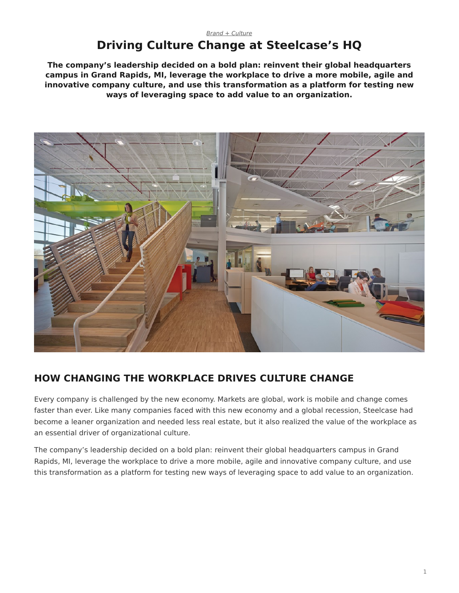# <span id="page-0-0"></span>**Driving Culture Change at Steelcase's HQ**

**The company's leadership decided on a bold plan: reinvent their global headquarters campus in Grand Rapids, MI, leverage the workplace to drive a more mobile, agile and innovative company culture, and use this transformation as a platform for testing new ways of leveraging space to add value to an organization.**



## **HOW CHANGING THE WORKPLACE DRIVES CULTURE CHANGE**

Every company is challenged by the new economy. Markets are global, work is mobile and change comes faster than ever. Like many companies faced with this new economy and a global recession, Steelcase had become a leaner organization and needed less real estate, but it also realized the value of the workplace as an essential driver of organizational culture.

The company's leadership decided on a bold plan: reinvent their global headquarters campus in Grand Rapids, MI, leverage the workplace to drive a more mobile, agile and innovative company culture, and use this transformation as a platform for testing new ways of leveraging space to add value to an organization.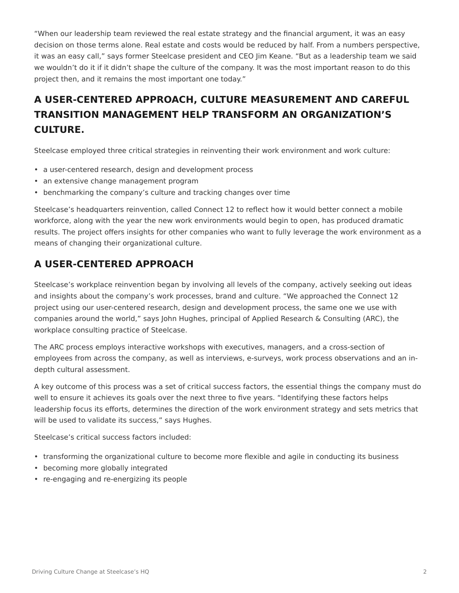"When our leadership team reviewed the real estate strategy and the financial argument, it was an easy decision on those terms alone. Real estate and costs would be reduced by half. From a numbers perspective, it was an easy call," says former Steelcase president and CEO Jim Keane. "But as a leadership team we said we wouldn't do it if it didn't shape the culture of the company. It was the most important reason to do this project then, and it remains the most important one today."

# **A USER-CENTERED APPROACH, CULTURE MEASUREMENT AND CAREFUL TRANSITION MANAGEMENT HELP TRANSFORM AN ORGANIZATION'S CULTURE.**

Steelcase employed three critical strategies in reinventing their work environment and work culture:

- a user-centered research, design and development process
- an extensive change management program
- benchmarking the company's culture and tracking changes over time

Steelcase's headquarters reinvention, called Connect 12 to reflect how it would better connect a mobile workforce, along with the year the new work environments would begin to open, has produced dramatic results. The project offers insights for other companies who want to fully leverage the work environment as a means of changing their organizational culture.

## **A USER-CENTERED APPROACH**

Steelcase's workplace reinvention began by involving all levels of the company, actively seeking out ideas and insights about the company's work processes, brand and culture. "We approached the Connect 12 project using our user-centered research, design and development process, the same one we use with companies around the world," says John Hughes, principal of Applied Research & Consulting (ARC), the workplace consulting practice of Steelcase.

The ARC process employs interactive workshops with executives, managers, and a cross-section of employees from across the company, as well as interviews, e-surveys, work process observations and an indepth cultural assessment.

A key outcome of this process was a set of critical success factors, the essential things the company must do well to ensure it achieves its goals over the next three to five years. "Identifying these factors helps leadership focus its efforts, determines the direction of the work environment strategy and sets metrics that will be used to validate its success," says Hughes.

Steelcase's critical success factors included:

- transforming the organizational culture to become more flexible and agile in conducting its business
- becoming more globally integrated
- re-engaging and re-energizing its people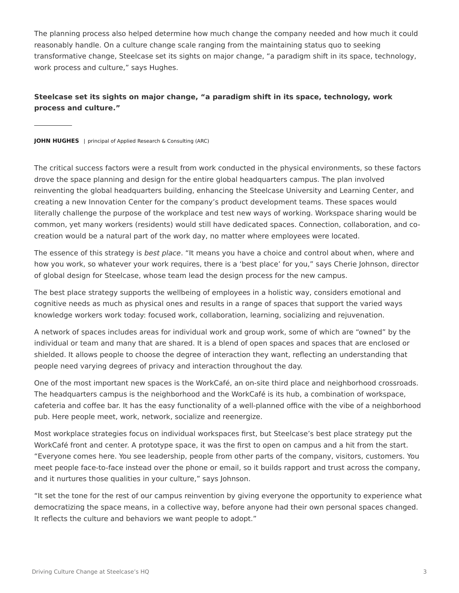The planning process also helped determine how much change the company needed and how much it could reasonably handle. On a culture change scale ranging from the maintaining status quo to seeking transformative change, Steelcase set its sights on major change, "a paradigm shift in its space, technology, work process and culture," says Hughes.

### **Steelcase set its sights on major change, "a paradigm shift in its space, technology, work process and culture."**

**JOHN HUGHES** | principal of Applied Research & Consulting (ARC)

The critical success factors were a result from work conducted in the physical environments, so these factors drove the space planning and design for the entire global headquarters campus. The plan involved reinventing the global headquarters building, enhancing the Steelcase University and Learning Center, and creating a new Innovation Center for the company's product development teams. These spaces would literally challenge the purpose of the workplace and test new ways of working. Workspace sharing would be common, yet many workers (residents) would still have dedicated spaces. Connection, collaboration, and cocreation would be a natural part of the work day, no matter where employees were located.

The essence of this strategy is *best place*. "It means you have a choice and control about when, where and how you work, so whatever your work requires, there is a 'best place' for you," says Cherie Johnson, director of global design for Steelcase, whose team lead the design process for the new campus.

The best place strategy supports the wellbeing of employees in a holistic way, considers emotional and cognitive needs as much as physical ones and results in a range of spaces that support the varied ways knowledge workers work today: focused work, collaboration, learning, socializing and rejuvenation.

A network of spaces includes areas for individual work and group work, some of which are "owned" by the individual or team and many that are shared. It is a blend of open spaces and spaces that are enclosed or shielded. It allows people to choose the degree of interaction they want, reflecting an understanding that people need varying degrees of privacy and interaction throughout the day.

One of the most important new spaces is the WorkCafé, an on-site third place and neighborhood crossroads. The headquarters campus is the neighborhood and the WorkCafé is its hub, a combination of workspace, cafeteria and coffee bar. It has the easy functionality of a well-planned office with the vibe of a neighborhood pub. Here people meet, work, network, socialize and reenergize.

Most workplace strategies focus on individual workspaces first, but Steelcase's best place strategy put the WorkCafé front and center. A prototype space, it was the first to open on campus and a hit from the start. "Everyone comes here. You see leadership, people from other parts of the company, visitors, customers. You meet people face-to-face instead over the phone or email, so it builds rapport and trust across the company, and it nurtures those qualities in your culture," says Johnson.

"It set the tone for the rest of our campus reinvention by giving everyone the opportunity to experience what democratizing the space means, in a collective way, before anyone had their own personal spaces changed. It reflects the culture and behaviors we want people to adopt."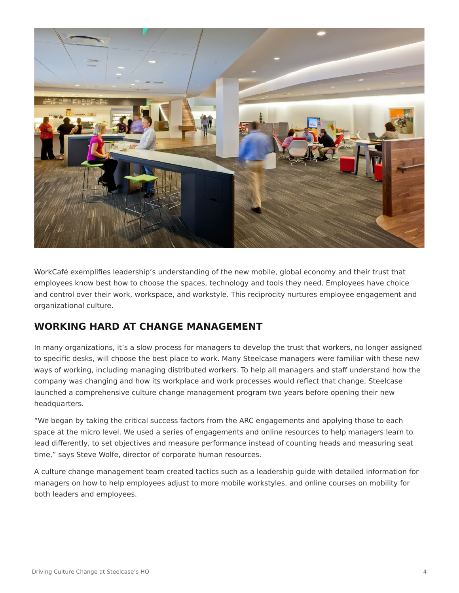

WorkCafé exemplifies leadership's understanding of the new mobile, global economy and their trust that employees know best how to choose the spaces, technology and tools they need. Employees have choice and control over their work, workspace, and workstyle. This reciprocity nurtures employee engagement and organizational culture.

## **WORKING HARD AT CHANGE MANAGEMENT**

In many organizations, it's a slow process for managers to develop the trust that workers, no longer assigned to specific desks, will choose the best place to work. Many Steelcase managers were familiar with these new ways of working, including managing distributed workers. To help all managers and staff understand how the company was changing and how its workplace and work processes would reflect that change, Steelcase launched a comprehensive culture change management program two years before opening their new headquarters.

"We began by taking the critical success factors from the ARC engagements and applying those to each space at the micro level. We used a series of engagements and online resources to help managers learn to lead differently, to set objectives and measure performance instead of counting heads and measuring seat time," says Steve Wolfe, director of corporate human resources.

A culture change management team created tactics such as a leadership guide with detailed information for managers on how to help employees adjust to more mobile workstyles, and online courses on mobility for both leaders and employees.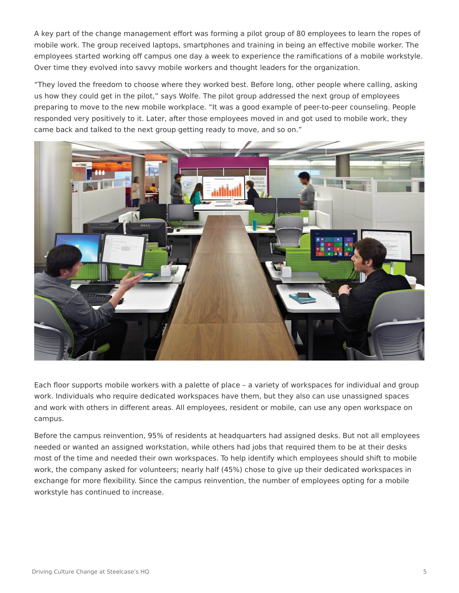A key part of the change management effort was forming a pilot group of 80 employees to learn the ropes of mobile work. The group received laptops, smartphones and training in being an effective mobile worker. The employees started working off campus one day a week to experience the ramifications of a mobile workstyle. Over time they evolved into savvy mobile workers and thought leaders for the organization.

"They loved the freedom to choose where they worked best. Before long, other people where calling, asking us how they could get in the pilot," says Wolfe. The pilot group addressed the next group of employees preparing to move to the new mobile workplace. "It was a good example of peer-to-peer counseling. People responded very positively to it. Later, after those employees moved in and got used to mobile work, they came back and talked to the next group getting ready to move, and so on."



Each floor supports mobile workers with a palette of place – a variety of workspaces for individual and group work. Individuals who require dedicated workspaces have them, but they also can use unassigned spaces and work with others in different areas. All employees, resident or mobile, can use any open workspace on campus.

Before the campus reinvention, 95% of residents at headquarters had assigned desks. But not all employees needed or wanted an assigned workstation, while others had jobs that required them to be at their desks most of the time and needed their own workspaces. To help identify which employees should shift to mobile work, the company asked for volunteers; nearly half (45%) chose to give up their dedicated workspaces in exchange for more flexibility. Since the campus reinvention, the number of employees opting for a mobile workstyle has continued to increase.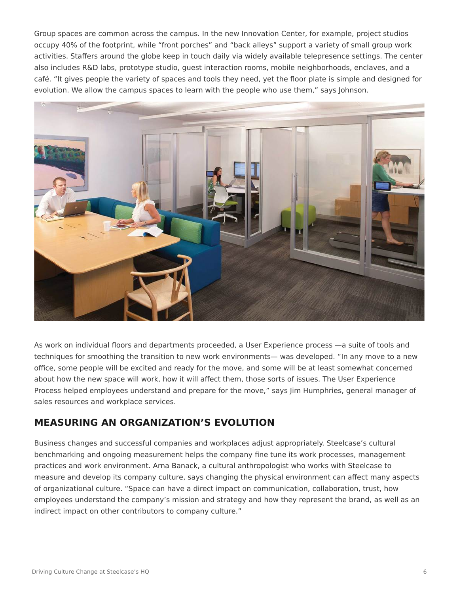Group spaces are common across the campus. In the new Innovation Center, for example, project studios occupy 40% of the footprint, while "front porches" and "back alleys" support a variety of small group work activities. Staffers around the globe keep in touch daily via widely available telepresence settings. The center also includes R&D labs, prototype studio, guest interaction rooms, mobile neighborhoods, enclaves, and a café. "It gives people the variety of spaces and tools they need, yet the floor plate is simple and designed for evolution. We allow the campus spaces to learn with the people who use them," says Johnson.



As work on individual floors and departments proceeded, a User Experience process —a suite of tools and techniques for smoothing the transition to new work environments— was developed. "In any move to a new office, some people will be excited and ready for the move, and some will be at least somewhat concerned about how the new space will work, how it will affect them, those sorts of issues. The User Experience Process helped employees understand and prepare for the move," says Jim Humphries, general manager of sales resources and workplace services.

### **MEASURING AN ORGANIZATION'S EVOLUTION**

Business changes and successful companies and workplaces adjust appropriately. Steelcase's cultural benchmarking and ongoing measurement helps the company fine tune its work processes, management practices and work environment. Arna Banack, a cultural anthropologist who works with Steelcase to measure and develop its company culture, says changing the physical environment can affect many aspects of organizational culture. "Space can have a direct impact on communication, collaboration, trust, how employees understand the company's mission and strategy and how they represent the brand, as well as an indirect impact on other contributors to company culture."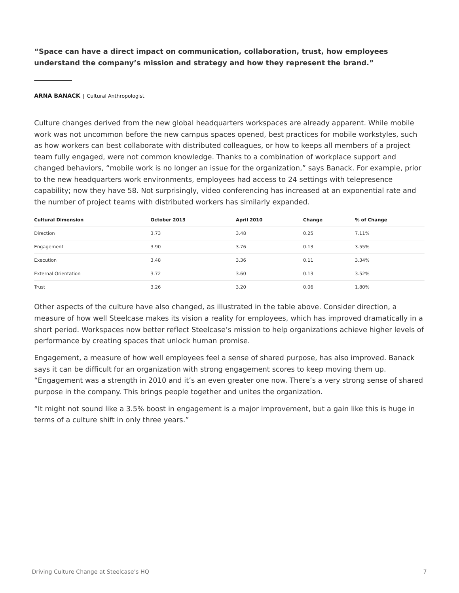**"Space can have a direct impact on communication, collaboration, trust, how employees understand the company's mission and strategy and how they represent the brand."**

#### **ARNA BANACK** | Cultural Anthropologist

Culture changes derived from the new global headquarters workspaces are already apparent. While mobile work was not uncommon before the new campus spaces opened, best practices for mobile workstyles, such as how workers can best collaborate with distributed colleagues, or how to keeps all members of a project team fully engaged, were not common knowledge. Thanks to a combination of workplace support and changed behaviors, "mobile work is no longer an issue for the organization," says Banack. For example, prior to the new headquarters work environments, employees had access to 24 settings with telepresence capability; now they have 58. Not surprisingly, video conferencing has increased at an exponential rate and the number of project teams with distributed workers has similarly expanded.

| <b>Cultural Dimension</b>   | October 2013 | <b>April 2010</b> | Change | % of Change |
|-----------------------------|--------------|-------------------|--------|-------------|
| Direction                   | 3.73         | 3.48              | 0.25   | 7.11%       |
| Engagement                  | 3.90         | 3.76              | 0.13   | 3.55%       |
| Execution                   | 3.48         | 3.36              | 0.11   | 3.34%       |
| <b>External Orientation</b> | 3.72         | 3.60              | 0.13   | 3.52%       |
| Trust                       | 3.26         | 3.20              | 0.06   | 1.80%       |

Other aspects of the culture have also changed, as illustrated in the table above. Consider direction, a measure of how well Steelcase makes its vision a reality for employees, which has improved dramatically in a short period. Workspaces now better reflect Steelcase's mission to help organizations achieve higher levels of performance by creating spaces that unlock human promise.

Engagement, a measure of how well employees feel a sense of shared purpose, has also improved. Banack says it can be difficult for an organization with strong engagement scores to keep moving them up. "Engagement was a strength in 2010 and it's an even greater one now. There's a very strong sense of shared purpose in the company. This brings people together and unites the organization.

"It might not sound like a 3.5% boost in engagement is a major improvement, but a gain like this is huge in terms of a culture shift in only three years."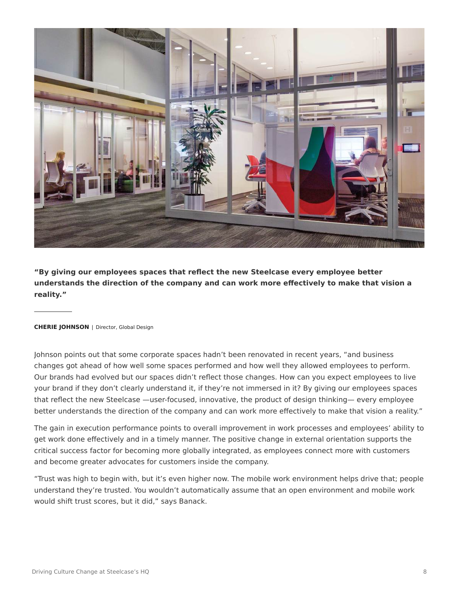

**"By giving our employees spaces that reflect the new Steelcase every employee better understands the direction of the company and can work more effectively to make that vision a reality."**

#### **CHERIE JOHNSON** | Director, Global Design

Johnson points out that some corporate spaces hadn't been renovated in recent years, "and business changes got ahead of how well some spaces performed and how well they allowed employees to perform. Our brands had evolved but our spaces didn't reflect those changes. How can you expect employees to live your brand if they don't clearly understand it, if they're not immersed in it? By giving our employees spaces that reflect the new Steelcase —user-focused, innovative, the product of design thinking— every employee better understands the direction of the company and can work more effectively to make that vision a reality."

The gain in execution performance points to overall improvement in work processes and employees' ability to get work done effectively and in a timely manner. The positive change in external orientation supports the critical success factor for becoming more globally integrated, as employees connect more with customers and become greater advocates for customers inside the company.

"Trust was high to begin with, but it's even higher now. The mobile work environment helps drive that; people understand they're trusted. You wouldn't automatically assume that an open environment and mobile work would shift trust scores, but it did," says Banack.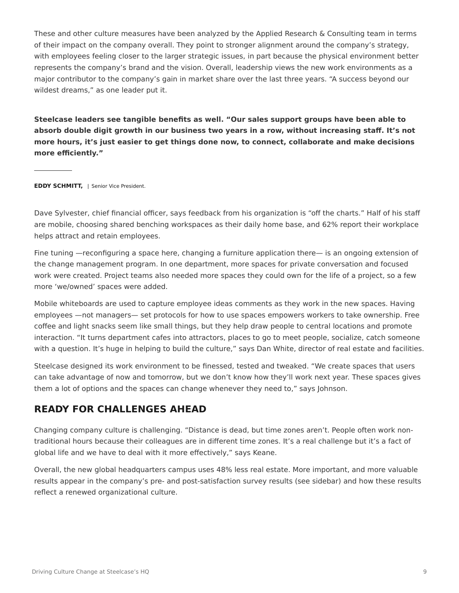These and other culture measures have been analyzed by the Applied Research & Consulting team in terms of their impact on the company overall. They point to stronger alignment around the company's strategy, with employees feeling closer to the larger strategic issues, in part because the physical environment better represents the company's brand and the vision. Overall, leadership views the new work environments as a major contributor to the company's gain in market share over the last three years. "A success beyond our wildest dreams," as one leader put it.

**Steelcase leaders see tangible benefits as well. "Our sales support groups have been able to absorb double digit growth in our business two years in a row, without increasing staff. It's not more hours, it's just easier to get things done now, to connect, collaborate and make decisions more efficiently."**

**EDDY SCHMITT,** | Senior Vice President.

Dave Sylvester, chief financial officer, says feedback from his organization is "off the charts." Half of his staff are mobile, choosing shared benching workspaces as their daily home base, and 62% report their workplace helps attract and retain employees.

Fine tuning —reconfiguring a space here, changing a furniture application there— is an ongoing extension of the change management program. In one department, more spaces for private conversation and focused work were created. Project teams also needed more spaces they could own for the life of a project, so a few more 'we/owned' spaces were added.

Mobile whiteboards are used to capture employee ideas comments as they work in the new spaces. Having employees —not managers— set protocols for how to use spaces empowers workers to take ownership. Free coffee and light snacks seem like small things, but they help draw people to central locations and promote interaction. "It turns department cafes into attractors, places to go to meet people, socialize, catch someone with a question. It's huge in helping to build the culture," says Dan White, director of real estate and facilities.

Steelcase designed its work environment to be finessed, tested and tweaked. "We create spaces that users can take advantage of now and tomorrow, but we don't know how they'll work next year. These spaces gives them a lot of options and the spaces can change whenever they need to," says Johnson.

## **READY FOR CHALLENGES AHEAD**

Changing company culture is challenging. "Distance is dead, but time zones aren't. People often work nontraditional hours because their colleagues are in different time zones. It's a real challenge but it's a fact of global life and we have to deal with it more effectively," says Keane.

Overall, the new global headquarters campus uses 48% less real estate. More important, and more valuable results appear in the company's pre- and post-satisfaction survey results (see sidebar) and how these results reflect a renewed organizational culture.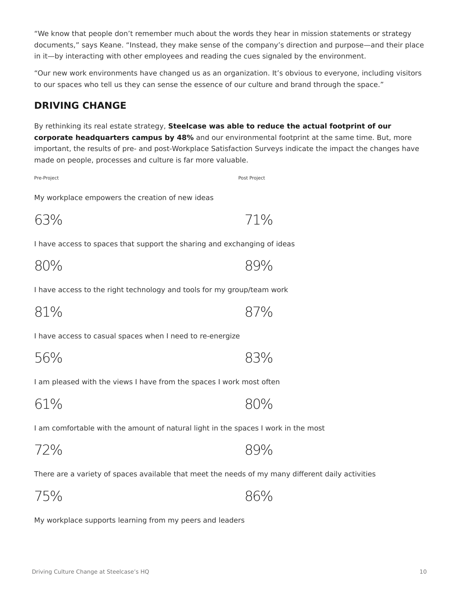"We know that people don't remember much about the words they hear in mission statements or strategy documents," says Keane. "Instead, they make sense of the company's direction and purpose—and their place in it—by interacting with other employees and reading the cues signaled by the environment.

"Our new work environments have changed us as an organization. It's obvious to everyone, including visitors to our spaces who tell us they can sense the essence of our culture and brand through the space."

## **DRIVING CHANGE**

By rethinking its real estate strategy, **Steelcase was able to reduce the actual footprint of our corporate headquarters campus by 48%** and our environmental footprint at the same time. But, more important, the results of pre- and post-Workplace Satisfaction Surveys indicate the impact the changes have made on people, processes and culture is far more valuable.

Pre-Project Pre-Project

My workplace empowers the creation of new ideas

63% 71%

I have access to spaces that support the sharing and exchanging of ideas

I have access to the right technology and tools for my group/team work

81% 87%

I have access to casual spaces when I need to re-energize

I am pleased with the views I have from the spaces I work most often

61% 80%

I am comfortable with the amount of natural light in the spaces I work in the most

72% 89%

There are a variety of spaces available that meet the needs of my many different daily activities

75% 86%

My workplace supports learning from my peers and leaders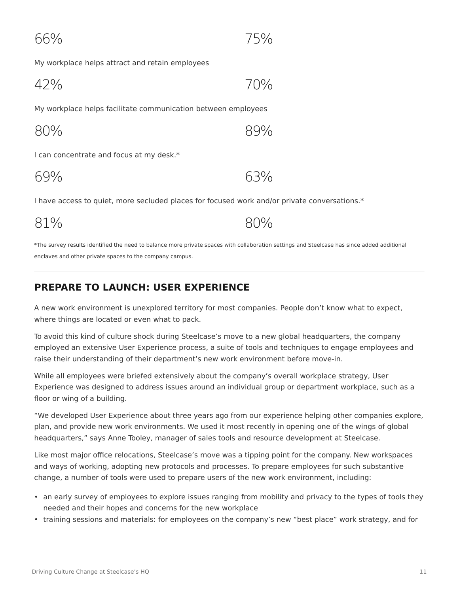66% 75%

My workplace helps attract and retain employees

$$
42\% \t\t\t 70\%
$$

My workplace helps facilitate communication between employees

$$
80\% \t\t 89\%
$$

I can concentrate and focus at my desk.\*

I have access to quiet, more secluded places for focused work and/or private conversations.\*

81% 80%

\*The survey results identified the need to balance more private spaces with collaboration settings and Steelcase has since added additional enclaves and other private spaces to the company campus.

## **PREPARE TO LAUNCH: USER EXPERIENCE**

A new work environment is unexplored territory for most companies. People don't know what to expect, where things are located or even what to pack.

To avoid this kind of culture shock during Steelcase's move to a new global headquarters, the company employed an extensive User Experience process, a suite of tools and techniques to engage employees and raise their understanding of their department's new work environment before move-in.

While all employees were briefed extensively about the company's overall workplace strategy, User Experience was designed to address issues around an individual group or department workplace, such as a floor or wing of a building.

"We developed User Experience about three years ago from our experience helping other companies explore, plan, and provide new work environments. We used it most recently in opening one of the wings of global headquarters," says Anne Tooley, manager of sales tools and resource development at Steelcase.

Like most major office relocations, Steelcase's move was a tipping point for the company. New workspaces and ways of working, adopting new protocols and processes. To prepare employees for such substantive change, a number of tools were used to prepare users of the new work environment, including:

- an early survey of employees to explore issues ranging from mobility and privacy to the types of tools they needed and their hopes and concerns for the new workplace
- training sessions and materials: for employees on the company's new "best place" work strategy, and for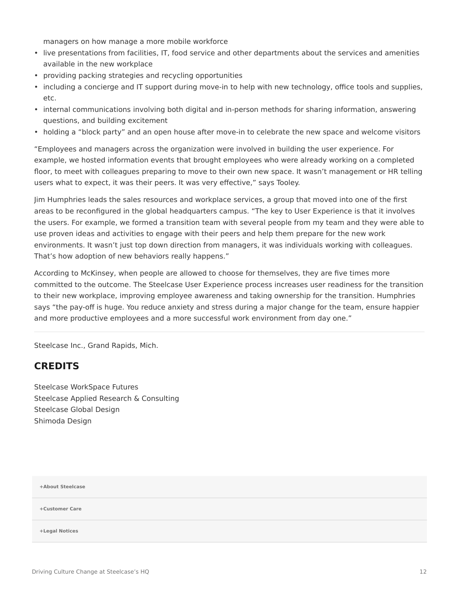managers on how manage a more mobile workforce

- live presentations from facilities, IT, food service and other departments about the services and amenities available in the new workplace
- providing packing strategies and recycling opportunities
- including a concierge and IT support during move-in to help with new technology, office tools and supplies, etc.
- internal communications involving both digital and in-person methods for sharing information, answering questions, and building excitement
- holding a "block party" and an open house after move-in to celebrate the new space and welcome visitors

"Employees and managers across the organization were involved in building the user experience. For example, we hosted information events that brought employees who were already working on a completed floor, to meet with colleagues preparing to move to their own new space. It wasn't management or HR telling users what to expect, it was their peers. It was very effective," says Tooley.

Jim Humphries leads the sales resources and workplace services, a group that moved into one of the first areas to be reconfigured in the global headquarters campus. "The key to User Experience is that it involves the users. For example, we formed a transition team with several people from my team and they were able to use proven ideas and activities to engage with their peers and help them prepare for the new work environments. It wasn't just top down direction from managers, it was individuals working with colleagues. That's how adoption of new behaviors really happens."

According to McKinsey, when people are allowed to choose for themselves, they are five times more committed to the outcome. The Steelcase User Experience process increases user readiness for the transition to their new workplace, improving employee awareness and taking ownership for the transition. Humphries says "the pay-off is huge. You reduce anxiety and stress during a major change for the team, ensure happier and more productive employees and a more successful work environment from day one."

Steelcase Inc., Grand Rapids, Mich.

### **CREDITS**

Steelcase WorkSpace Futures Steelcase Applied Research & Consulting Steelcase Global Design Shimoda Design

**[+About Steelcase](https://www.steelcase.com/discover/steelcase/our-company/)**

**[+Customer Care](#page-0-0)**

**[+Legal Notices](#page-0-0)**